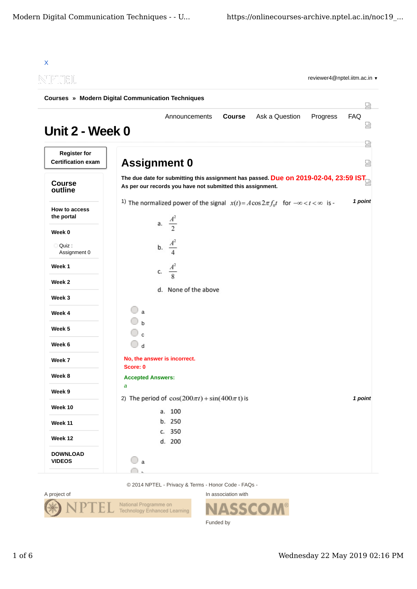| INEIL                                             |                                      |                                                            |               |                                                                                                 | reviewer4@nptel.iitm.ac.in v |          |
|---------------------------------------------------|--------------------------------------|------------------------------------------------------------|---------------|-------------------------------------------------------------------------------------------------|------------------------------|----------|
| Courses » Modern Digital Communication Techniques |                                      |                                                            |               |                                                                                                 |                              |          |
| Unit 2 - Week 0                                   |                                      | Announcements                                              | <b>Course</b> | Ask a Question                                                                                  | Progress                     | FAQ<br>₩ |
| <b>Register for</b><br><b>Certification exam</b>  | <b>Assignment 0</b>                  |                                                            |               |                                                                                                 |                              | 圀<br>쩑   |
| <b>Course</b><br>outline                          |                                      | As per our records you have not submitted this assignment. |               | The due date for submitting this assignment has passed. Due on 2019-02-04, 23:59 IST            |                              |          |
| How to access<br>the portal                       |                                      | a. $\frac{A^2}{2}$                                         |               | 1) The normalized power of the signal $x(t) = A\cos 2\pi f_0 t$ for $-\infty < t < \infty$ is - |                              | 1 point  |
| Week 0                                            |                                      |                                                            |               |                                                                                                 |                              |          |
| Quiz:<br>Assignment 0                             |                                      | b. $\frac{A^2}{4}$                                         |               |                                                                                                 |                              |          |
| Week 1                                            |                                      | c. $\frac{A^2}{8}$                                         |               |                                                                                                 |                              |          |
| Week 2                                            |                                      |                                                            |               |                                                                                                 |                              |          |
| Week 3                                            |                                      | d. None of the above                                       |               |                                                                                                 |                              |          |
| Week 4                                            | $\mathbf{a}$                         |                                                            |               |                                                                                                 |                              |          |
| Week 5                                            |                                      |                                                            |               |                                                                                                 |                              |          |
| Week 6                                            | $\bigcirc$ d                         |                                                            |               |                                                                                                 |                              |          |
| Week 7                                            | No, the answer is incorrect.         |                                                            |               |                                                                                                 |                              |          |
| Week 8                                            | Score: 0<br><b>Accepted Answers:</b> |                                                            |               |                                                                                                 |                              |          |
| Week 9                                            | a                                    |                                                            |               |                                                                                                 |                              |          |
| Week 10                                           |                                      | 2) The period of $cos(200\pi t) + sin(400\pi t)$ is        |               |                                                                                                 |                              | 1 point  |
|                                                   |                                      | a. 100<br>b. 250                                           |               |                                                                                                 |                              |          |
| Week 11                                           |                                      | c. 350                                                     |               |                                                                                                 |                              |          |
| Week 12                                           |                                      | d. 200                                                     |               |                                                                                                 |                              |          |
| <b>DOWNLOAD</b>                                   | 0<br>$\mathbf{a}$                    |                                                            |               |                                                                                                 |                              |          |

© 2014 NPTEL - Privacy & Terms - Honor Code - FAQs -



In association with **SSCOM®** Π Funded by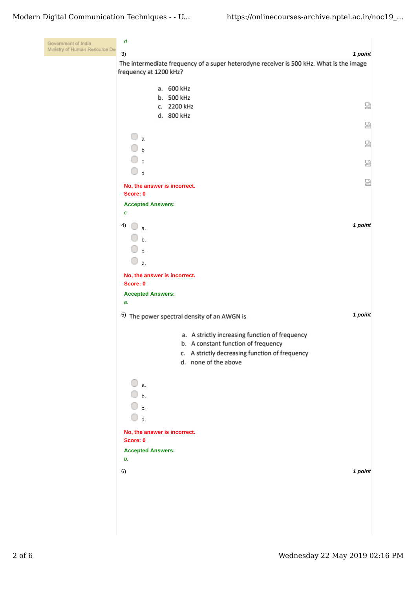| Government of India<br>Ministry of Human Resource Det | d<br>3)<br>1 point                                                                                                |   |
|-------------------------------------------------------|-------------------------------------------------------------------------------------------------------------------|---|
|                                                       | The intermediate frequency of a super heterodyne receiver is 500 kHz. What is the image<br>frequency at 1200 kHz? |   |
|                                                       | a. 600 kHz                                                                                                        |   |
|                                                       | b. 500 kHz<br>c. 2200 kHz                                                                                         | 덣 |
|                                                       | d. 800 kHz                                                                                                        |   |
|                                                       |                                                                                                                   | 品 |
|                                                       | $\mathbf{a}$                                                                                                      | 덣 |
|                                                       | $\Box$ b                                                                                                          |   |
|                                                       | $\mathbb O$ c                                                                                                     | 없 |
|                                                       | $\bigcirc$ d                                                                                                      | 얺 |
|                                                       | No, the answer is incorrect.<br>Score: 0                                                                          |   |
|                                                       | <b>Accepted Answers:</b>                                                                                          |   |
|                                                       | $\pmb{C}$                                                                                                         |   |
|                                                       | 1 point<br>4)<br>a.                                                                                               |   |
|                                                       | $\cup$ b.                                                                                                         |   |
|                                                       | $\mathbb O$ c.<br>$\bigcirc$ d.                                                                                   |   |
|                                                       | No, the answer is incorrect.                                                                                      |   |
|                                                       | Score: 0                                                                                                          |   |
|                                                       | <b>Accepted Answers:</b>                                                                                          |   |
|                                                       | a.<br>1 point                                                                                                     |   |
|                                                       | 5) The power spectral density of an AWGN is                                                                       |   |
|                                                       | a. A strictly increasing function of frequency                                                                    |   |
|                                                       | b. A constant function of frequency<br>c. A strictly decreasing function of frequency                             |   |
|                                                       | d. none of the above                                                                                              |   |
|                                                       |                                                                                                                   |   |
|                                                       | $\bigcirc$ a.                                                                                                     |   |
|                                                       | $\bigcirc$ b.<br>$\overline{\mathbb{O}}$ c.                                                                       |   |
|                                                       | $\bigcirc$ d.                                                                                                     |   |
|                                                       | No, the answer is incorrect.                                                                                      |   |
|                                                       | Score: 0                                                                                                          |   |
|                                                       | <b>Accepted Answers:</b><br>b.                                                                                    |   |
|                                                       | 1 point<br>6)                                                                                                     |   |
|                                                       |                                                                                                                   |   |
|                                                       |                                                                                                                   |   |
|                                                       |                                                                                                                   |   |
|                                                       |                                                                                                                   |   |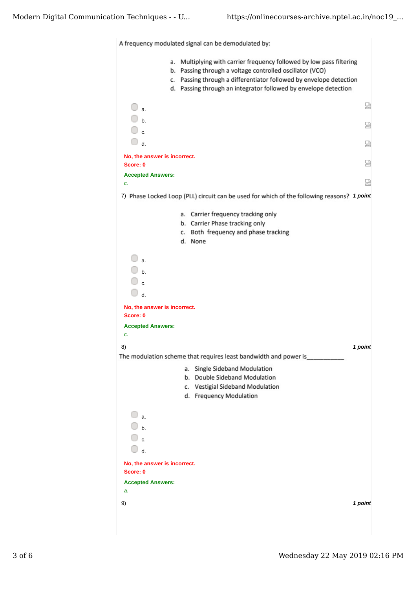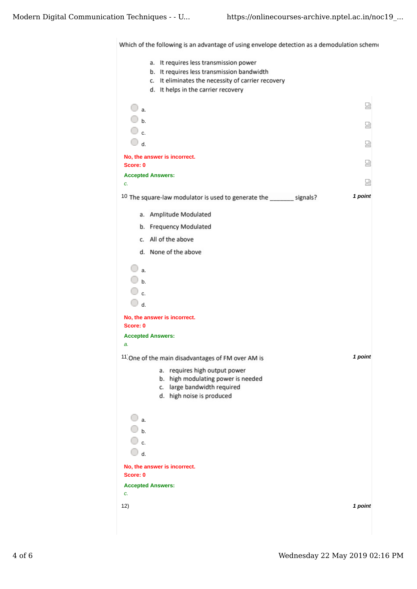Which of the following is an advantage of using envelope detection as a demodulation scheme

|                                                                                                                             | a. It requires less transmission power<br>It requires less transmission bandwidth<br>b.<br>c. It eliminates the necessity of carrier recovery<br>d. It helps in the carrier recovery |         |
|-----------------------------------------------------------------------------------------------------------------------------|--------------------------------------------------------------------------------------------------------------------------------------------------------------------------------------|---------|
| $\bigcirc$ a.                                                                                                               |                                                                                                                                                                                      | 쩑       |
| $\bigcirc$ b.<br>$\bigcirc$ c.                                                                                              |                                                                                                                                                                                      | 덣       |
| $\mathbb{O}$ d.                                                                                                             |                                                                                                                                                                                      | 썮       |
| Score: 0                                                                                                                    | No, the answer is incorrect.                                                                                                                                                         | 쩒       |
| <b>Accepted Answers:</b>                                                                                                    |                                                                                                                                                                                      | 疏       |
| c.                                                                                                                          | <sup>10</sup> The square-law modulator is used to generate the _______ signals?                                                                                                      | 1 point |
|                                                                                                                             | a. Amplitude Modulated                                                                                                                                                               |         |
|                                                                                                                             | b. Frequency Modulated                                                                                                                                                               |         |
|                                                                                                                             | c. All of the above                                                                                                                                                                  |         |
|                                                                                                                             | d. None of the above                                                                                                                                                                 |         |
| $\bigcirc$ a.<br>$\bigcirc$ b.<br>$\overline{\mathbb{O}}$ c.<br>$\bigcirc$ d.<br>Score: 0<br><b>Accepted Answers:</b><br>a. | No, the answer is incorrect.<br><sup>11</sup> One of the main disadvantages of FM over AM is<br>requires high output power<br>а.                                                     | 1 point |
| 0<br>a.<br>0<br>$\mathbf b$ .<br>○ c.<br>$\bigcirc$ d.<br>Score: 0<br><b>Accepted Answers:</b><br>c.                        | high modulating power is needed<br>b.<br>large bandwidth required<br>c.<br>d. high noise is produced<br>No, the answer is incorrect.                                                 |         |
| 12)                                                                                                                         |                                                                                                                                                                                      | 1 point |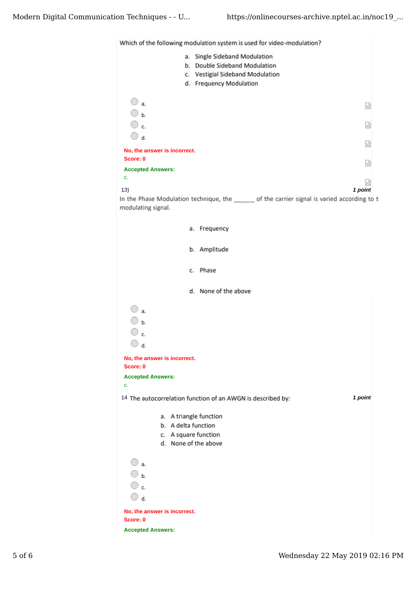

| a. Single Sideband Modulation                                                                                  |  |
|----------------------------------------------------------------------------------------------------------------|--|
| b. Double Sideband Modulation                                                                                  |  |
| c. Vestigial Sideband Modulation                                                                               |  |
| d. Frequency Modulation                                                                                        |  |
|                                                                                                                |  |
| $\bigcirc$ a.<br>덣                                                                                             |  |
| $\overline{\mathbb{O}}$ b.                                                                                     |  |
| ○ c.<br>덢                                                                                                      |  |
| $\bigcirc$ d.                                                                                                  |  |
| 딣                                                                                                              |  |
| No, the answer is incorrect.<br>Score: 0                                                                       |  |
| 圀                                                                                                              |  |
| <b>Accepted Answers:</b><br>c.                                                                                 |  |
| 덣                                                                                                              |  |
| 1 point<br>13)<br>In the Phase Modulation technique, the ______ of the carrier signal is varied according to t |  |
| modulating signal.                                                                                             |  |
|                                                                                                                |  |
| a. Frequency                                                                                                   |  |
|                                                                                                                |  |
| b. Amplitude                                                                                                   |  |
|                                                                                                                |  |
| c. Phase                                                                                                       |  |
|                                                                                                                |  |
| d. None of the above                                                                                           |  |
|                                                                                                                |  |
| $\Box$ a.                                                                                                      |  |
|                                                                                                                |  |
| $\bigcirc$ b.                                                                                                  |  |
| ○ c.                                                                                                           |  |
| $\Box$ d.                                                                                                      |  |
| No, the answer is incorrect.                                                                                   |  |
| Score: 0                                                                                                       |  |
| <b>Accepted Answers:</b>                                                                                       |  |
| c.                                                                                                             |  |
| 1 point<br>14 The autocorrelation function of an AWGN is described by:                                         |  |
|                                                                                                                |  |
| a. A triangle function                                                                                         |  |
| b. A delta function                                                                                            |  |
| c. A square function                                                                                           |  |
| d. None of the above                                                                                           |  |
| $\bigcirc$ a.                                                                                                  |  |
|                                                                                                                |  |
| $\bigcirc$ b.                                                                                                  |  |
| ○ c.                                                                                                           |  |
| $\overline{\mathbb{O}}$ d.                                                                                     |  |
| No, the answer is incorrect.                                                                                   |  |
| Score: 0                                                                                                       |  |
| <b>Accepted Answers:</b>                                                                                       |  |